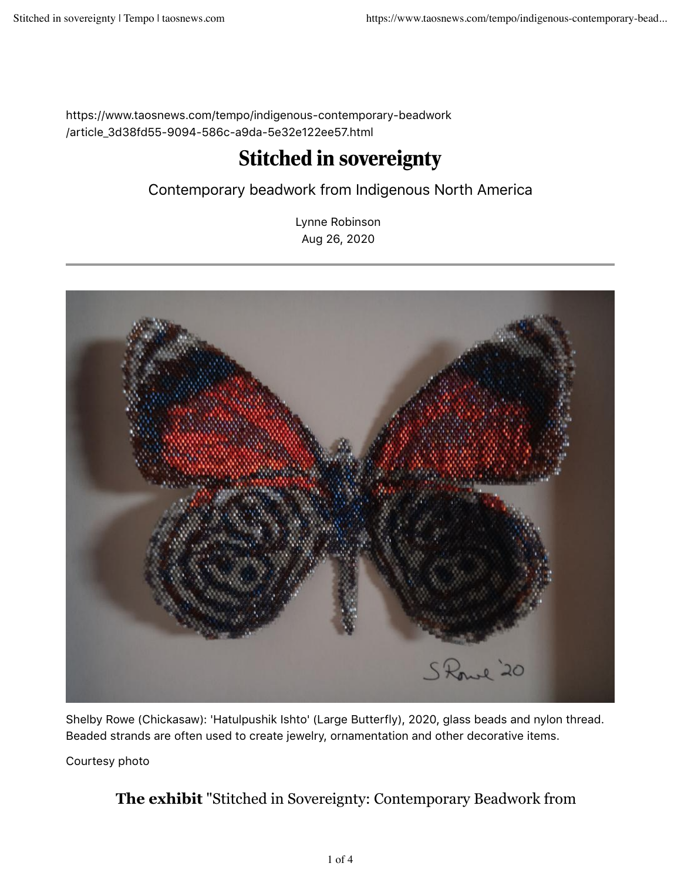https://www.taosnews.com/tempo/indigenous-contemporary-beadwork /article\_3d38fd55-9094-586c-a9da-5e32e122ee57.html

## Stitched in sovereignty

## Contemporary beadwork from Indigenous North America

Lynne Robinson Aug 26, 2020



Shelby Rowe (Chickasaw): 'Hatulpushik Ishto' (Large Butterfly), 2020, glass beads and nylon thread. Beaded strands are often used to create jewelry, ornamentation and other decorative items.

Courtesy photo

## **The exhibit** "Stitched in Sovereignty: Contemporary Beadwork from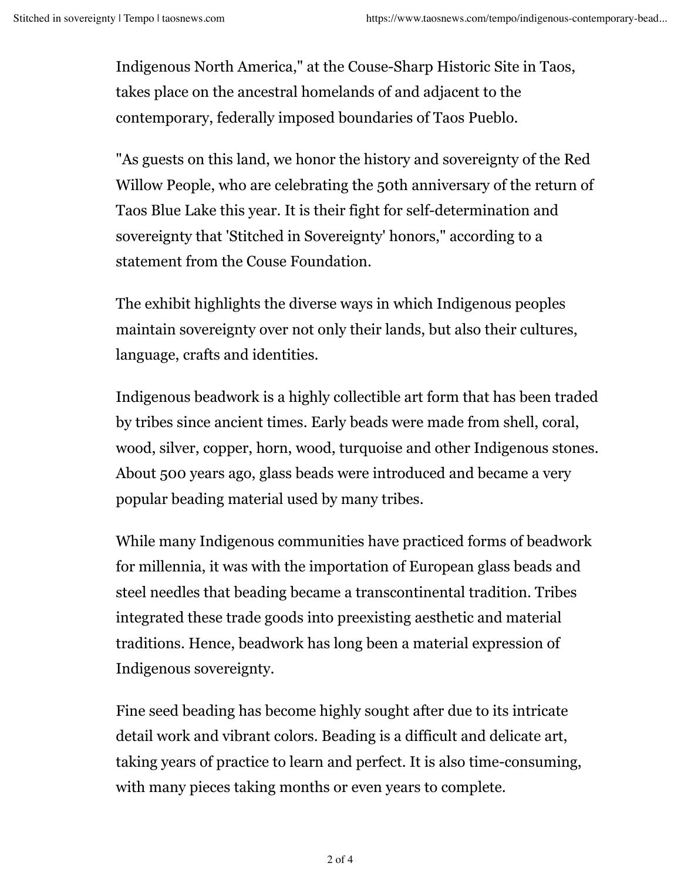Indigenous North America," at the Couse-Sharp Historic Site in Taos, takes place on the ancestral homelands of and adjacent to the contemporary, federally imposed boundaries of Taos Pueblo.

"As guests on this land, we honor the history and sovereignty of the Red Willow People, who are celebrating the 50th anniversary of the return of Taos Blue Lake this year. It is their fight for self-determination and sovereignty that 'Stitched in Sovereignty' honors," according to a statement from the Couse Foundation.

The exhibit highlights the diverse ways in which Indigenous peoples maintain sovereignty over not only their lands, but also their cultures, language, crafts and identities.

Indigenous beadwork is a highly collectible art form that has been traded by tribes since ancient times. Early beads were made from shell, coral, wood, silver, copper, horn, wood, turquoise and other Indigenous stones. About 500 years ago, glass beads were introduced and became a very popular beading material used by many tribes.

While many Indigenous communities have practiced forms of beadwork for millennia, it was with the importation of European glass beads and steel needles that beading became a transcontinental tradition. Tribes integrated these trade goods into preexisting aesthetic and material traditions. Hence, beadwork has long been a material expression of Indigenous sovereignty.

Fine seed beading has become highly sought after due to its intricate detail work and vibrant colors. Beading is a difficult and delicate art, taking years of practice to learn and perfect. It is also time-consuming, with many pieces taking months or even years to complete.